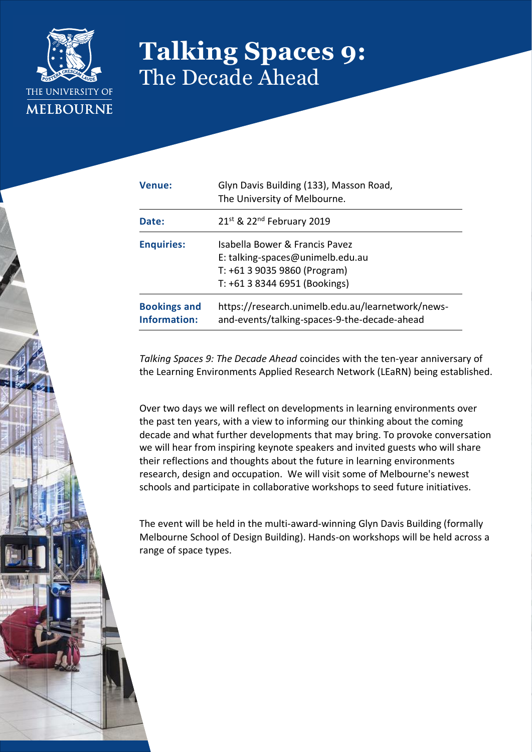

## **Talking Spaces 9:** The Decade Ahead

| <b>Venue:</b>                       | Glyn Davis Building (133), Masson Road,<br>The University of Melbourne.                                                             |
|-------------------------------------|-------------------------------------------------------------------------------------------------------------------------------------|
| Date:                               | 21st & 22nd February 2019                                                                                                           |
| <b>Enquiries:</b>                   | Isabella Bower & Francis Pavez<br>E: talking-spaces@unimelb.edu.au<br>T: +61 3 9035 9860 (Program)<br>T: +61 3 8344 6951 (Bookings) |
| <b>Bookings and</b><br>Information: | https://research.unimelb.edu.au/learnetwork/news-<br>and-events/talking-spaces-9-the-decade-ahead                                   |

*Talking Spaces 9: The Decade Ahead* coincides with the ten-year anniversary of the Learning Environments Applied Research Network (LEaRN) being established.

Over two days we will reflect on developments in learning environments over the past ten years, with a view to informing our thinking about the coming decade and what further developments that may bring. To provoke conversation we will hear from inspiring keynote speakers and invited guests who will share their reflections and thoughts about the future in learning environments research, design and occupation. We will visit some of Melbourne's newest schools and participate in collaborative workshops to seed future initiatives.

The event will be held in the multi-award-winning Glyn Davis Building (formally Melbourne School of Design Building). Hands-on workshops will be held across a range of space types.